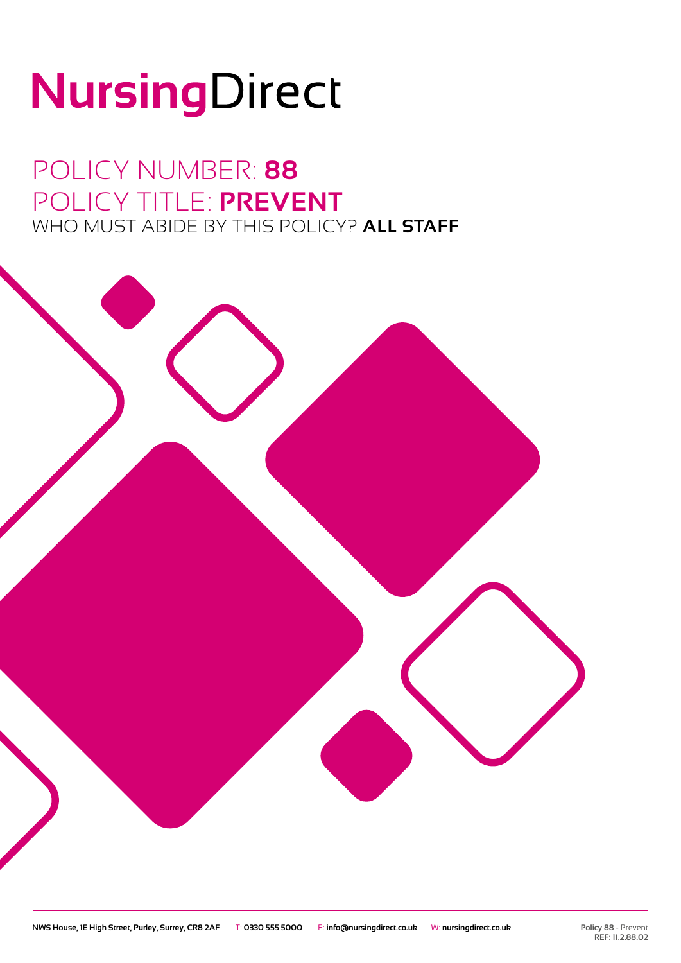# NursingDirect

## POLICY NUMBER: **88** POLICY TITLE: **PREVENT** WHO MUST ABIDE BY THIS POLICY? **ALL STAFF**

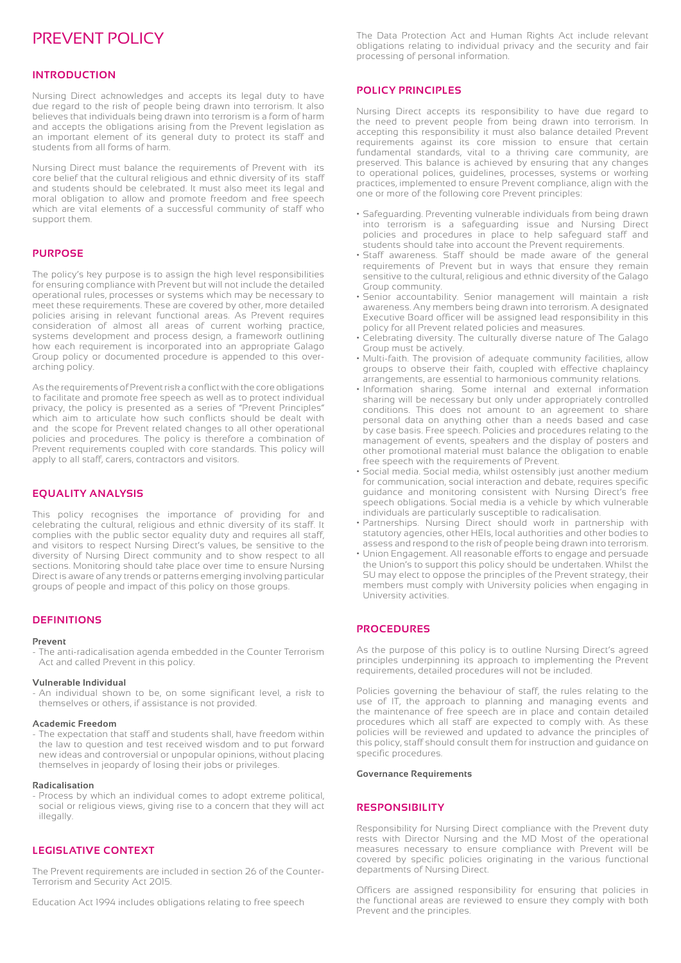### PREVENT POLICY

#### **INTRODUCTION**

Nursing Direct acknowledges and accepts its legal duty to have due regard to the risk of people being drawn into terrorism. It also believes that individuals being drawn into terrorism is a form of harm and accepts the obligations arising from the Prevent legislation as an important element of its general duty to protect its staff and students from all forms of harm.

Nursing Direct must balance the requirements of Prevent with its core belief that the cultural religious and ethnic diversity of its staff and students should be celebrated. It must also meet its legal and moral obligation to allow and promote freedom and free speech which are vital elements of a successful community of staff who support them.

#### **PURPOSE**

The policy's key purpose is to assign the high level responsibilities for ensuring compliance with Prevent but will not include the detailed operational rules, processes or systems which may be necessary to meet these requirements. These are covered by other, more detailed policies arising in relevant functional areas. As Prevent requires consideration of almost all areas of current working practice, systems development and process design, a framework outlining how each requirement is incorporated into an appropriate Galago Group policy or documented procedure is appended to this overarching policy.

As the requirements of Prevent risk a conflict with the core obligations to facilitate and promote free speech as well as to protect individual privacy, the policy is presented as a series of "Prevent Principles" which aim to articulate how such conflicts should be dealt with and the scope for Prevent related changes to all other operational policies and procedures. The policy is therefore a combination of Prevent requirements coupled with core standards. This policy will apply to all staff, carers, contractors and visitors.

#### **EQUALITY ANALYSIS**

This policy recognises the importance of providing for and celebrating the cultural, religious and ethnic diversity of its staff. It complies with the public sector equality duty and requires all staff, and visitors to respect Nursing Direct's values, be sensitive to the diversity of Nursing Direct community and to show respect to all sections. Monitoring should take place over time to ensure Nursing Direct is aware of any trends or patterns emerging involving particular groups of people and impact of this policy on those groups.

#### **DEFINITIONS**

#### **Prevent**

- The anti-radicalisation agenda embedded in the Counter Terrorism Act and called Prevent in this policy.

#### **Vulnerable Individual**

- An individual shown to be, on some significant level, a risk to themselves or others, if assistance is not provided.

#### **Academic Freedom**

The expectation that staff and students shall, have freedom within the law to question and test received wisdom and to put forward new ideas and controversial or unpopular opinions, without placing themselves in jeopardy of losing their jobs or privileges.

#### **Radicalisation**

- Process by which an individual comes to adopt extreme political, social or religious views, giving rise to a concern that they will act illegally.

#### **LEGISLATIVE CONTEXT**

The Prevent requirements are included in section 26 of the Counter-Terrorism and Security Act 2015.

Education Act 1994 includes obligations relating to free speech

The Data Protection Act and Human Rights Act include relevant obligations relating to individual privacy and the security and fair processing of personal information.

#### **POLICY PRINCIPLES**

Nursing Direct accepts its responsibility to have due regard to the need to prevent people from being drawn into terrorism. In accepting this responsibility it must also balance detailed Prevent requirements against its core mission to ensure that certain fundamental standards, vital to a thriving care community, are preserved. This balance is achieved by ensuring that any changes to operational polices, guidelines, processes, systems or working practices, implemented to ensure Prevent compliance, align with the one or more of the following core Prevent principles:

- Safeguarding. Preventing vulnerable individuals from being drawn into terrorism is a safeguarding issue and Nursing Direct policies and procedures in place to help safeguard staff and students should take into account the Prevent requirements.
- Staff awareness. Staff should be made aware of the general requirements of Prevent but in ways that ensure they remain sensitive to the cultural, religious and ethnic diversity of the Galago Group community.
- Senior accountability. Senior management will maintain a risk awareness. Any members being drawn into terrorism. A designated Executive Board officer will be assigned lead responsibility in this policy for all Prevent related policies and measures.
- Celebrating diversity. The culturally diverse nature of The Galago Group must be actively.
- Multi-faith. The provision of adequate community facilities, allow groups to observe their faith, coupled with effective chaplaincy arrangements, are essential to harmonious community relations.
- Information sharing. Some internal and external information sharing will be necessary but only under appropriately controlled conditions. This does not amount to an agreement to share personal data on anything other than a needs based and case by case basis. Free speech. Policies and procedures relating to the management of events, speakers and the display of posters and other promotional material must balance the obligation to enable free speech with the requirements of Prevent.
- Social media. Social media, whilst ostensibly just another medium for communication, social interaction and debate, requires specific guidance and monitoring consistent with Nursing Direct's free speech obligations. Social media is a vehicle by which vulnerable individuals are particularly susceptible to radicalisation.
- Partnerships. Nursing Direct should work in partnership with statutory agencies, other HEIs, local authorities and other bodies to assess and respond to the risk of people being drawn into terrorism.
- Union Engagement. All reasonable efforts to engage and persuade the Union's to support this policy should be undertaken. Whilst the SU may elect to oppose the principles of the Prevent strategy, their members must comply with University policies when engaging in University activities.

#### **PROCEDURES**

As the purpose of this policy is to outline Nursing Direct's agreed principles underpinning its approach to implementing the Prevent requirements, detailed procedures will not be included.

Policies governing the behaviour of staff, the rules relating to the use of IT, the approach to planning and managing events and the maintenance of free speech are in place and contain detailed procedures which all staff are expected to comply with. As these policies will be reviewed and updated to advance the principles of this policy, staff should consult them for instruction and guidance on specific procedures.

#### **Governance Requirements**

#### **RESPONSIBILITY**

Responsibility for Nursing Direct compliance with the Prevent duty rests with Director Nursing and the MD Most of the operational measures necessary to ensure compliance with Prevent will be covered by specific policies originating in the various functional departments of Nursing Direct.

Officers are assigned responsibility for ensuring that policies in the functional areas are reviewed to ensure they comply with both Prevent and the principles.